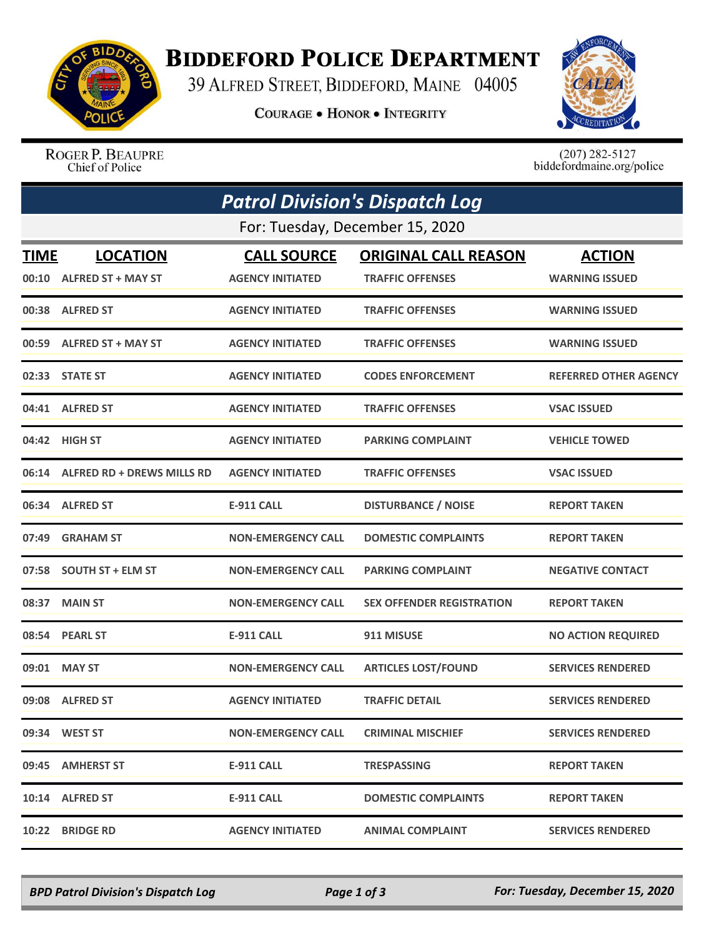

## **BIDDEFORD POLICE DEPARTMENT**

39 ALFRED STREET, BIDDEFORD, MAINE 04005

**COURAGE . HONOR . INTEGRITY** 



ROGER P. BEAUPRE Chief of Police

 $(207)$  282-5127<br>biddefordmaine.org/police

|             | <b>Patrol Division's Dispatch Log</b><br>For: Tuesday, December 15, 2020 |                           |                                  |                              |  |  |  |
|-------------|--------------------------------------------------------------------------|---------------------------|----------------------------------|------------------------------|--|--|--|
|             |                                                                          |                           |                                  |                              |  |  |  |
| <b>TIME</b> | <b>LOCATION</b>                                                          | <b>CALL SOURCE</b>        | <b>ORIGINAL CALL REASON</b>      | <b>ACTION</b>                |  |  |  |
|             | 00:10 ALFRED ST + MAY ST                                                 | <b>AGENCY INITIATED</b>   | <b>TRAFFIC OFFENSES</b>          | <b>WARNING ISSUED</b>        |  |  |  |
|             | 00:38 ALFRED ST                                                          | <b>AGENCY INITIATED</b>   | <b>TRAFFIC OFFENSES</b>          | <b>WARNING ISSUED</b>        |  |  |  |
| 00:59       | <b>ALFRED ST + MAY ST</b>                                                | <b>AGENCY INITIATED</b>   | <b>TRAFFIC OFFENSES</b>          | <b>WARNING ISSUED</b>        |  |  |  |
|             | 02:33 STATE ST                                                           | <b>AGENCY INITIATED</b>   | <b>CODES ENFORCEMENT</b>         | <b>REFERRED OTHER AGENCY</b> |  |  |  |
|             | 04:41 ALFRED ST                                                          | <b>AGENCY INITIATED</b>   | <b>TRAFFIC OFFENSES</b>          | <b>VSAC ISSUED</b>           |  |  |  |
|             | 04:42 HIGH ST                                                            | <b>AGENCY INITIATED</b>   | <b>PARKING COMPLAINT</b>         | <b>VEHICLE TOWED</b>         |  |  |  |
|             | 06:14 ALFRED RD + DREWS MILLS RD                                         | <b>AGENCY INITIATED</b>   | <b>TRAFFIC OFFENSES</b>          | <b>VSAC ISSUED</b>           |  |  |  |
|             | 06:34 ALFRED ST                                                          | <b>E-911 CALL</b>         | <b>DISTURBANCE / NOISE</b>       | <b>REPORT TAKEN</b>          |  |  |  |
| 07:49       | <b>GRAHAM ST</b>                                                         | <b>NON-EMERGENCY CALL</b> | <b>DOMESTIC COMPLAINTS</b>       | <b>REPORT TAKEN</b>          |  |  |  |
| 07:58       | <b>SOUTH ST + ELM ST</b>                                                 | <b>NON-EMERGENCY CALL</b> | <b>PARKING COMPLAINT</b>         | <b>NEGATIVE CONTACT</b>      |  |  |  |
| 08:37       | <b>MAIN ST</b>                                                           | <b>NON-EMERGENCY CALL</b> | <b>SEX OFFENDER REGISTRATION</b> | <b>REPORT TAKEN</b>          |  |  |  |
|             | 08:54 PEARL ST                                                           | <b>E-911 CALL</b>         | 911 MISUSE                       | <b>NO ACTION REQUIRED</b>    |  |  |  |
| 09:01       | <b>MAY ST</b>                                                            | <b>NON-EMERGENCY CALL</b> | <b>ARTICLES LOST/FOUND</b>       | <b>SERVICES RENDERED</b>     |  |  |  |
| 09:08       | <b>ALFRED ST</b>                                                         | <b>AGENCY INITIATED</b>   | <b>TRAFFIC DETAIL</b>            | <b>SERVICES RENDERED</b>     |  |  |  |
|             | 09:34 WEST ST                                                            | <b>NON-EMERGENCY CALL</b> | <b>CRIMINAL MISCHIEF</b>         | <b>SERVICES RENDERED</b>     |  |  |  |
|             | 09:45 AMHERST ST                                                         | <b>E-911 CALL</b>         | <b>TRESPASSING</b>               | <b>REPORT TAKEN</b>          |  |  |  |
|             | 10:14 ALFRED ST                                                          | <b>E-911 CALL</b>         | <b>DOMESTIC COMPLAINTS</b>       | <b>REPORT TAKEN</b>          |  |  |  |
|             | 10:22 BRIDGE RD                                                          | <b>AGENCY INITIATED</b>   | <b>ANIMAL COMPLAINT</b>          | <b>SERVICES RENDERED</b>     |  |  |  |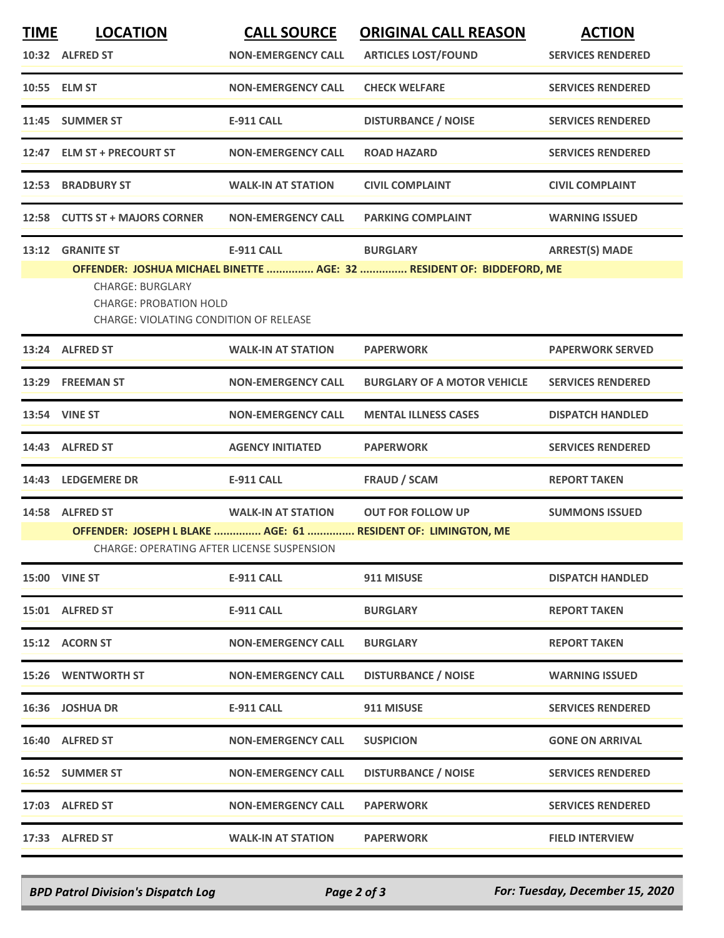| <b>TIME</b> | <b>LOCATION</b>                                                                                    | <b>CALL SOURCE</b>        | <b>ORIGINAL CALL REASON</b>                                           | <b>ACTION</b>            |  |  |  |
|-------------|----------------------------------------------------------------------------------------------------|---------------------------|-----------------------------------------------------------------------|--------------------------|--|--|--|
|             | 10:32 ALFRED ST                                                                                    | <b>NON-EMERGENCY CALL</b> | <b>ARTICLES LOST/FOUND</b>                                            | <b>SERVICES RENDERED</b> |  |  |  |
|             | 10:55 ELM ST                                                                                       | <b>NON-EMERGENCY CALL</b> | <b>CHECK WELFARE</b>                                                  | <b>SERVICES RENDERED</b> |  |  |  |
|             | 11:45 SUMMER ST                                                                                    | <b>E-911 CALL</b>         | <b>DISTURBANCE / NOISE</b>                                            | <b>SERVICES RENDERED</b> |  |  |  |
|             | 12:47 ELM ST + PRECOURT ST                                                                         | <b>NON-EMERGENCY CALL</b> | <b>ROAD HAZARD</b>                                                    | <b>SERVICES RENDERED</b> |  |  |  |
|             | 12:53 BRADBURY ST                                                                                  | <b>WALK-IN AT STATION</b> | <b>CIVIL COMPLAINT</b>                                                | <b>CIVIL COMPLAINT</b>   |  |  |  |
|             | 12:58 CUTTS ST + MAJORS CORNER                                                                     | <b>NON-EMERGENCY CALL</b> | <b>PARKING COMPLAINT</b>                                              | <b>WARNING ISSUED</b>    |  |  |  |
| 13:12       | <b>GRANITE ST</b>                                                                                  | <b>E-911 CALL</b>         | <b>BURGLARY</b>                                                       | <b>ARREST(S) MADE</b>    |  |  |  |
|             |                                                                                                    |                           | OFFENDER: JOSHUA MICHAEL BINETTE  AGE: 32  RESIDENT OF: BIDDEFORD, ME |                          |  |  |  |
|             | <b>CHARGE: BURGLARY</b><br><b>CHARGE: PROBATION HOLD</b><br>CHARGE: VIOLATING CONDITION OF RELEASE |                           |                                                                       |                          |  |  |  |
|             | 13:24 ALFRED ST                                                                                    | <b>WALK-IN AT STATION</b> | <b>PAPERWORK</b>                                                      | <b>PAPERWORK SERVED</b>  |  |  |  |
|             | 13:29 FREEMAN ST                                                                                   | <b>NON-EMERGENCY CALL</b> | <b>BURGLARY OF A MOTOR VEHICLE</b>                                    | <b>SERVICES RENDERED</b> |  |  |  |
|             | 13:54 VINE ST                                                                                      | <b>NON-EMERGENCY CALL</b> | <b>MENTAL ILLNESS CASES</b>                                           | <b>DISPATCH HANDLED</b>  |  |  |  |
|             | 14:43 ALFRED ST                                                                                    | <b>AGENCY INITIATED</b>   | <b>PAPERWORK</b>                                                      | <b>SERVICES RENDERED</b> |  |  |  |
|             | 14:43 LEDGEMERE DR                                                                                 | <b>E-911 CALL</b>         | <b>FRAUD / SCAM</b>                                                   | <b>REPORT TAKEN</b>      |  |  |  |
|             | 14:58 ALFRED ST                                                                                    | <b>WALK-IN AT STATION</b> | <b>OUT FOR FOLLOW UP</b>                                              | <b>SUMMONS ISSUED</b>    |  |  |  |
|             | OFFENDER: JOSEPH L BLAKE  AGE: 61  RESIDENT OF: LIMINGTON, ME                                      |                           |                                                                       |                          |  |  |  |
|             | <b>CHARGE: OPERATING AFTER LICENSE SUSPENSION</b>                                                  |                           |                                                                       |                          |  |  |  |
|             | <b>15:00 VINE ST</b>                                                                               | <b>E-911 CALL</b>         | 911 MISUSE                                                            | <b>DISPATCH HANDLED</b>  |  |  |  |
|             | 15:01 ALFRED ST                                                                                    | <b>E-911 CALL</b>         | <b>BURGLARY</b>                                                       | <b>REPORT TAKEN</b>      |  |  |  |
|             | 15:12 ACORN ST                                                                                     | <b>NON-EMERGENCY CALL</b> | <b>BURGLARY</b>                                                       | <b>REPORT TAKEN</b>      |  |  |  |
|             | 15:26 WENTWORTH ST                                                                                 | <b>NON-EMERGENCY CALL</b> | <b>DISTURBANCE / NOISE</b>                                            | <b>WARNING ISSUED</b>    |  |  |  |
|             | 16:36 JOSHUA DR                                                                                    | <b>E-911 CALL</b>         | 911 MISUSE                                                            | <b>SERVICES RENDERED</b> |  |  |  |
|             | 16:40 ALFRED ST                                                                                    | <b>NON-EMERGENCY CALL</b> | <b>SUSPICION</b>                                                      | <b>GONE ON ARRIVAL</b>   |  |  |  |
|             | 16:52 SUMMER ST                                                                                    | <b>NON-EMERGENCY CALL</b> | <b>DISTURBANCE / NOISE</b>                                            | <b>SERVICES RENDERED</b> |  |  |  |
|             | 17:03 ALFRED ST                                                                                    | <b>NON-EMERGENCY CALL</b> | <b>PAPERWORK</b>                                                      | <b>SERVICES RENDERED</b> |  |  |  |
|             | 17:33 ALFRED ST                                                                                    | <b>WALK-IN AT STATION</b> | <b>PAPERWORK</b>                                                      | <b>FIELD INTERVIEW</b>   |  |  |  |
|             |                                                                                                    |                           |                                                                       |                          |  |  |  |

*BPD Patrol Division's Dispatch Log Page 2 of 3 For: Tuesday, December 15, 2020*